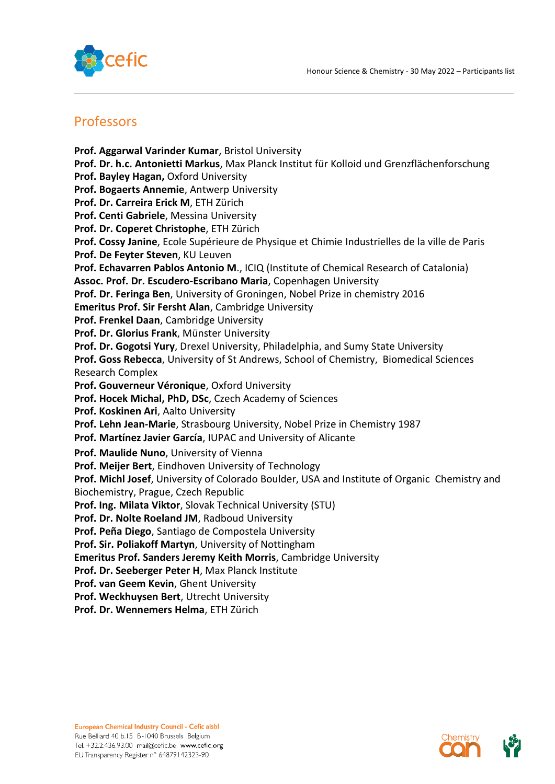

## Professors

**Prof. Aggarwal Varinder Kumar**, Bristol University **Prof. Dr. h.c. Antonietti Markus**, Max Planck Institut für Kolloid und Grenzflächenforschung **Prof. Bayley Hagan,** Oxford University **Prof. Bogaerts Annemie**, Antwerp University **Prof. Dr. Carreira Erick M**, ETH Zürich **Prof. Centi Gabriele**, Messina University **Prof. Dr. Coperet Christophe**, ETH Zürich **Prof. Cossy Janine**, Ecole Supérieure de Physique et Chimie Industrielles de la ville de Paris **Prof. De Feyter Steven**, KU Leuven **Prof. Echavarren Pablos Antonio M**., ICIQ (Institute of Chemical Research of Catalonia) **Assoc. Prof. Dr. Escudero-Escribano Maria**, Copenhagen University **Prof. Dr. Feringa Ben**, University of Groningen, Nobel Prize in chemistry 2016 **Emeritus Prof. Sir Fersht Alan**, Cambridge University **Prof. Frenkel Daan**, Cambridge University **Prof. Dr. Glorius Frank**, Münster University **Prof. Dr. Gogotsi Yury**, Drexel University, Philadelphia, and Sumy State University **Prof. Goss Rebecca**, University of St Andrews, School of Chemistry, Biomedical Sciences Research Complex **Prof. Gouverneur Véronique**, Oxford University **Prof. Hocek Michal, PhD, DSc**, Czech Academy of Sciences **Prof. Koskinen Ari**, Aalto University **Prof. Lehn Jean-Marie**, Strasbourg University, Nobel Prize in Chemistry 1987 **Prof. Martínez Javier García**, IUPAC and University of Alicante **Prof. Maulide Nuno**, University of Vienna **Prof. Meijer Bert**, Eindhoven University of Technology **Prof. Michl Josef**, University of Colorado Boulder, USA and Institute of Organic Chemistry and Biochemistry, Prague, Czech Republic **Prof. Ing. Milata Viktor**, Slovak Technical University (STU) **Prof. Dr. Nolte Roeland JM**, Radboud University **Prof. Peña Diego**, Santiago de Compostela University **Prof. Sir. Poliakoff Martyn**, University of Nottingham **Emeritus Prof. Sanders Jeremy Keith Morris**, Cambridge University **Prof. Dr. Seeberger Peter H**, Max Planck Institute **Prof. van Geem Kevin**, Ghent University **Prof. Weckhuysen Bert**, Utrecht University

**Prof. Dr. Wennemers Helma**, ETH Zürich